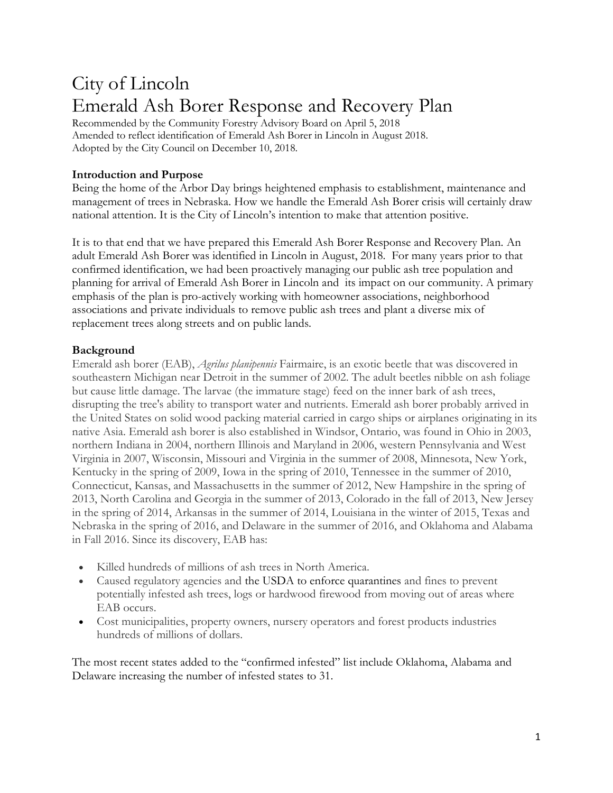# City of Lincoln Emerald Ash Borer Response and Recovery Plan

Recommended by the Community Forestry Advisory Board on April 5, 2018 Amended to reflect identification of Emerald Ash Borer in Lincoln in August 2018. Adopted by the City Council on December 10, 2018.

## **Introduction and Purpose**

Being the home of the Arbor Day brings heightened emphasis to establishment, maintenance and management of trees in Nebraska. How we handle the Emerald Ash Borer crisis will certainly draw national attention. It is the City of Lincoln's intention to make that attention positive.

It is to that end that we have prepared this Emerald Ash Borer Response and Recovery Plan. An adult Emerald Ash Borer was identified in Lincoln in August, 2018. For many years prior to that confirmed identification, we had been proactively managing our public ash tree population and planning for arrival of Emerald Ash Borer in Lincoln and its impact on our community. A primary emphasis of the plan is pro-actively working with homeowner associations, neighborhood associations and private individuals to remove public ash trees and plant a diverse mix of replacement trees along streets and on public lands.

## **Background**

Emerald ash borer (EAB), *Agrilus planipennis* Fairmaire, is an exotic beetle that was discovered in southeastern Michigan near Detroit in the summer of 2002. The adult beetles nibble on ash foliage but cause little damage. The larvae (the immature stage) feed on the inner bark of ash trees, disrupting the tree's ability to transport water and nutrients. Emerald ash borer probably arrived in the United States on solid wood packing material carried in cargo ships or airplanes originating in its native Asia. Emerald ash borer is also established in Windsor, Ontario, was found in Ohio in 2003, northern Indiana in 2004, northern Illinois and Maryland in 2006, western Pennsylvania and West Virginia in 2007, Wisconsin, Missouri and Virginia in the summer of 2008, Minnesota, New York, Kentucky in the spring of 2009, Iowa in the spring of 2010, Tennessee in the summer of 2010, Connecticut, Kansas, and Massachusetts in the summer of 2012, New Hampshire in the spring of 2013, North Carolina and Georgia in the summer of 2013, Colorado in the fall of 2013, New Jersey in the spring of 2014, Arkansas in the summer of 2014, Louisiana in the winter of 2015, Texas and Nebraska in the spring of 2016, and Delaware in the summer of 2016, and Oklahoma and Alabama in Fall 2016. Since its discovery, EAB has:

- Killed hundreds of millions of ash trees in North America.
- Caused regulatory agencies and the [USDA](http://www.aphis.usda.gov/publications/plant_health/content/printable_version/emerald_ash_borer_faqs.pdf) to [enforce quarantines](http://emeraldashborer.info/moving-firewood.php) and fines to prevent potentially infested ash trees, logs or hardwood firewood from moving out of areas where EAB occurs.
- Cost municipalities, property owners, nursery operators and forest products industries hundreds of millions of dollars.

The most recent states added to the "confirmed infested" list include Oklahoma, Alabama and Delaware increasing the number of infested states to 31.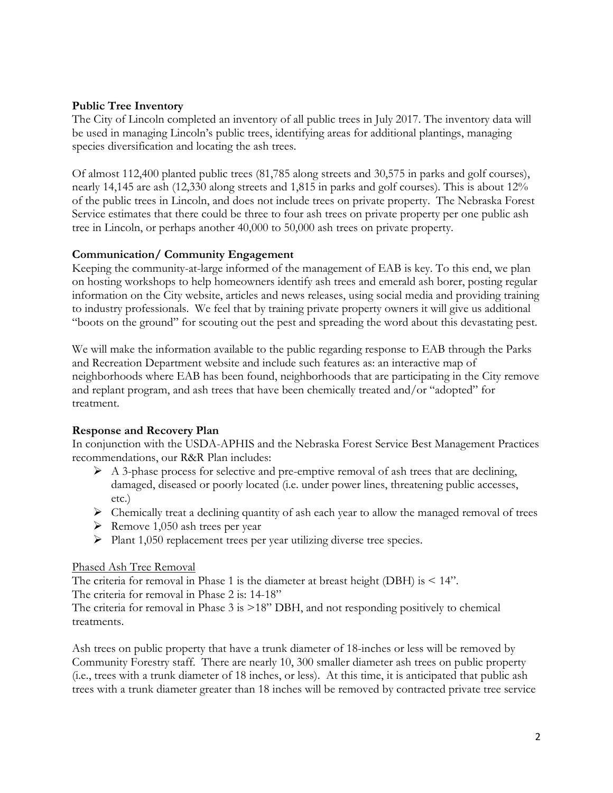#### **Public Tree Inventory**

The City of Lincoln completed an inventory of all public trees in July 2017. The inventory data will be used in managing Lincoln's public trees, identifying areas for additional plantings, managing species diversification and locating the ash trees.

Of almost 112,400 planted public trees (81,785 along streets and 30,575 in parks and golf courses), nearly 14,145 are ash (12,330 along streets and 1,815 in parks and golf courses). This is about 12% of the public trees in Lincoln, and does not include trees on private property. The Nebraska Forest Service estimates that there could be three to four ash trees on private property per one public ash tree in Lincoln, or perhaps another 40,000 to 50,000 ash trees on private property.

#### **Communication/ Community Engagement**

Keeping the community-at-large informed of the management of EAB is key. To this end, we plan on hosting workshops to help homeowners identify ash trees and emerald ash borer, posting regular information on the City website, articles and news releases, using social media and providing training to industry professionals. We feel that by training private property owners it will give us additional "boots on the ground" for scouting out the pest and spreading the word about this devastating pest.

We will make the information available to the public regarding response to EAB through the Parks and Recreation Department website and include such features as: an interactive map of neighborhoods where EAB has been found, neighborhoods that are participating in the City remove and replant program, and ash trees that have been chemically treated and/or "adopted" for treatment.

#### **Response and Recovery Plan**

In conjunction with the USDA-APHIS and the Nebraska Forest Service Best Management Practices recommendations, our R&R Plan includes:

- $\triangleright$  A 3-phase process for selective and pre-emptive removal of ash trees that are declining, damaged, diseased or poorly located (i.e. under power lines, threatening public accesses, etc.)
- ➢ Chemically treat a declining quantity of ash each year to allow the managed removal of trees
- $\triangleright$  Remove 1,050 ash trees per year
- ➢ Plant 1,050 replacement trees per year utilizing diverse tree species.

#### Phased Ash Tree Removal

The criteria for removal in Phase 1 is the diameter at breast height (DBH) is  $\leq 14$ ". The criteria for removal in Phase 2 is: 14-18"

The criteria for removal in Phase 3 is >18" DBH, and not responding positively to chemical treatments.

Ash trees on public property that have a trunk diameter of 18-inches or less will be removed by Community Forestry staff. There are nearly 10, 300 smaller diameter ash trees on public property (i.e., trees with a trunk diameter of 18 inches, or less). At this time, it is anticipated that public ash trees with a trunk diameter greater than 18 inches will be removed by contracted private tree service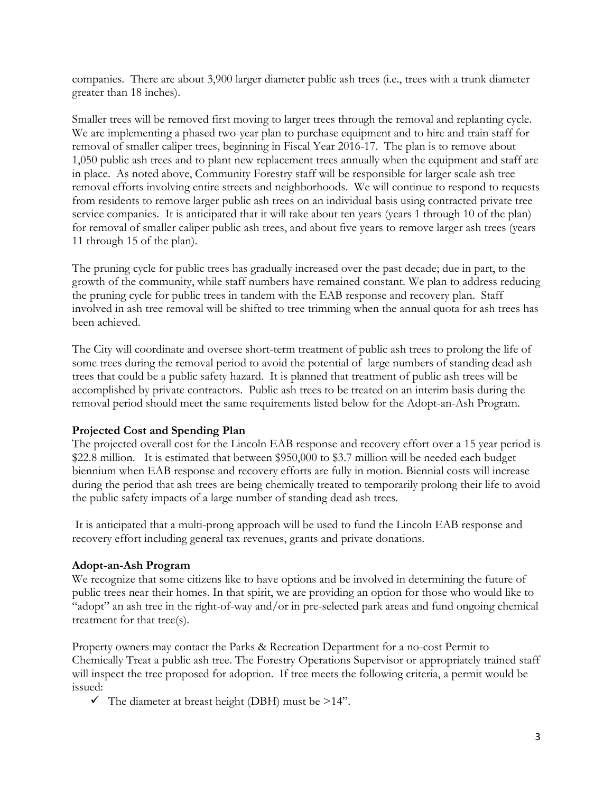companies. There are about 3,900 larger diameter public ash trees (i.e., trees with a trunk diameter greater than 18 inches).

Smaller trees will be removed first moving to larger trees through the removal and replanting cycle. We are implementing a phased two-year plan to purchase equipment and to hire and train staff for removal of smaller caliper trees, beginning in Fiscal Year 2016-17. The plan is to remove about 1,050 public ash trees and to plant new replacement trees annually when the equipment and staff are in place. As noted above, Community Forestry staff will be responsible for larger scale ash tree removal efforts involving entire streets and neighborhoods. We will continue to respond to requests from residents to remove larger public ash trees on an individual basis using contracted private tree service companies. It is anticipated that it will take about ten years (years 1 through 10 of the plan) for removal of smaller caliper public ash trees, and about five years to remove larger ash trees (years 11 through 15 of the plan).

The pruning cycle for public trees has gradually increased over the past decade; due in part, to the growth of the community, while staff numbers have remained constant. We plan to address reducing the pruning cycle for public trees in tandem with the EAB response and recovery plan. Staff involved in ash tree removal will be shifted to tree trimming when the annual quota for ash trees has been achieved.

The City will coordinate and oversee short-term treatment of public ash trees to prolong the life of some trees during the removal period to avoid the potential of large numbers of standing dead ash trees that could be a public safety hazard. It is planned that treatment of public ash trees will be accomplished by private contractors. Public ash trees to be treated on an interim basis during the removal period should meet the same requirements listed below for the Adopt-an-Ash Program.

# **Projected Cost and Spending Plan**

The projected overall cost for the Lincoln EAB response and recovery effort over a 15 year period is \$22.8 million. It is estimated that between \$950,000 to \$3.7 million will be needed each budget biennium when EAB response and recovery efforts are fully in motion. Biennial costs will increase during the period that ash trees are being chemically treated to temporarily prolong their life to avoid the public safety impacts of a large number of standing dead ash trees.

It is anticipated that a multi-prong approach will be used to fund the Lincoln EAB response and recovery effort including general tax revenues, grants and private donations.

#### **Adopt-an-Ash Program**

We recognize that some citizens like to have options and be involved in determining the future of public trees near their homes. In that spirit, we are providing an option for those who would like to "adopt" an ash tree in the right-of-way and/or in pre-selected park areas and fund ongoing chemical treatment for that tree(s).

Property owners may contact the Parks & Recreation Department for a no-cost Permit to Chemically Treat a public ash tree. The Forestry Operations Supervisor or appropriately trained staff will inspect the tree proposed for adoption. If tree meets the following criteria, a permit would be issued:

 $\checkmark$  The diameter at breast height (DBH) must be >14".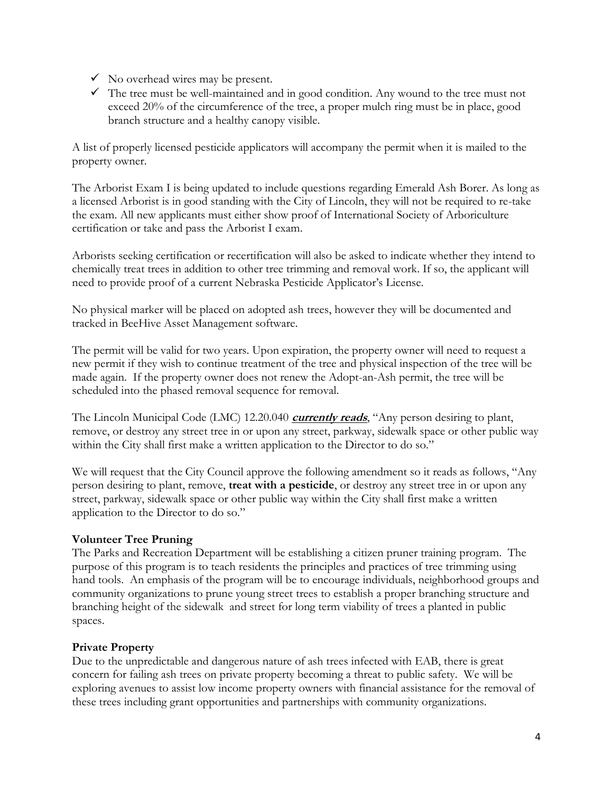- $\checkmark$  No overhead wires may be present.
- $\checkmark$  The tree must be well-maintained and in good condition. Any wound to the tree must not exceed 20% of the circumference of the tree, a proper mulch ring must be in place, good branch structure and a healthy canopy visible.

A list of properly licensed pesticide applicators will accompany the permit when it is mailed to the property owner.

The Arborist Exam I is being updated to include questions regarding Emerald Ash Borer. As long as a licensed Arborist is in good standing with the City of Lincoln, they will not be required to re-take the exam. All new applicants must either show proof of International Society of Arboriculture certification or take and pass the Arborist I exam.

Arborists seeking certification or recertification will also be asked to indicate whether they intend to chemically treat trees in addition to other tree trimming and removal work. If so, the applicant will need to provide proof of a current Nebraska Pesticide Applicator's License.

No physical marker will be placed on adopted ash trees, however they will be documented and tracked in BeeHive Asset Management software.

The permit will be valid for two years. Upon expiration, the property owner will need to request a new permit if they wish to continue treatment of the tree and physical inspection of the tree will be made again. If the property owner does not renew the Adopt-an-Ash permit, the tree will be scheduled into the phased removal sequence for removal.

The Lincoln Municipal Code (LMC) 12.20.040 **currently reads**, "Any person desiring to plant, remove, or destroy any street tree in or upon any street, parkway, sidewalk space or other public way within the City shall first make a written application to the Director to do so."

We will request that the City Council approve the following amendment so it reads as follows, "Any person desiring to plant, remove, **treat with a pesticide**, or destroy any street tree in or upon any street, parkway, sidewalk space or other public way within the City shall first make a written application to the Director to do so."

# **Volunteer Tree Pruning**

The Parks and Recreation Department will be establishing a citizen pruner training program. The purpose of this program is to teach residents the principles and practices of tree trimming using hand tools. An emphasis of the program will be to encourage individuals, neighborhood groups and community organizations to prune young street trees to establish a proper branching structure and branching height of the sidewalk and street for long term viability of trees a planted in public spaces.

# **Private Property**

Due to the unpredictable and dangerous nature of ash trees infected with EAB, there is great concern for failing ash trees on private property becoming a threat to public safety. We will be exploring avenues to assist low income property owners with financial assistance for the removal of these trees including grant opportunities and partnerships with community organizations.